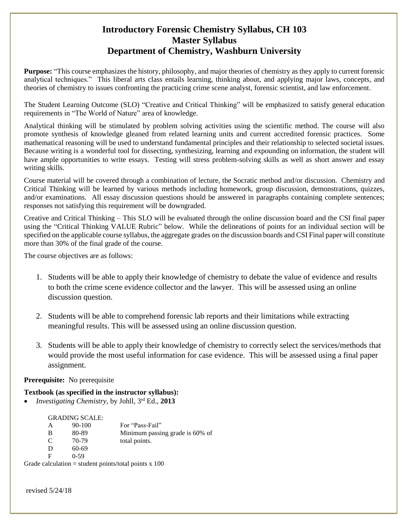## **Introductory Forensic Chemistry Syllabus, CH 103 Master Syllabus Department of Chemistry, Washburn University**

**Purpose:** "This course emphasizes the history, philosophy, and major theories of chemistry as they apply to current forensic analytical techniques." This liberal arts class entails learning, thinking about, and applying major laws, concepts, and theories of chemistry to issues confronting the practicing crime scene analyst, forensic scientist, and law enforcement.

The Student Learning Outcome (SLO) "Creative and Critical Thinking" will be emphasized to satisfy general education requirements in "The World of Nature" area of knowledge.

Analytical thinking will be stimulated by problem solving activities using the scientific method. The course will also promote synthesis of knowledge gleaned from related learning units and current accredited forensic practices. Some mathematical reasoning will be used to understand fundamental principles and their relationship to selected societal issues. Because writing is a wonderful tool for dissecting, synthesizing, learning and expounding on information, the student will have ample opportunities to write essays. Testing will stress problem-solving skills as well as short answer and essay writing skills.

Course material will be covered through a combination of lecture, the Socratic method and/or discussion. Chemistry and Critical Thinking will be learned by various methods including homework, group discussion, demonstrations, quizzes, and/or examinations. All essay discussion questions should be answered in paragraphs containing complete sentences; responses not satisfying this requirement will be downgraded.

Creative and Critical Thinking – This SLO will be evaluated through the online discussion board and the CSI final paper using the "Critical Thinking VALUE Rubric" below. While the delineations of points for an individual section will be specified on the applicable course syllabus, the aggregate grades on the discussion boards and CSI Final paper will constitute more than 30% of the final grade of the course.

The course objectives are as follows:

- 1. Students will be able to apply their knowledge of chemistry to debate the value of evidence and results to both the crime scene evidence collector and the lawyer. This will be assessed using an online discussion question.
- 2. Students will be able to comprehend forensic lab reports and their limitations while extracting meaningful results. This will be assessed using an online discussion question.
- 3. Students will be able to apply their knowledge of chemistry to correctly select the services/methods that would provide the most useful information for case evidence. This will be assessed using a final paper assignment.

#### **Prerequisite:** No prerequisite

#### **Textbook (as specified in the instructor syllabus):**

*Investigating Chemistry*, by Johll, 3 rd Ed., **2013**

#### GRADING SCALE:

| A | 90-100 | For "Pass-Fail"                                     |
|---|--------|-----------------------------------------------------|
| В | 80-89  | Minimum passing grade is 60% of                     |
| C | 70-79  | total points.                                       |
| D | 60-69  |                                                     |
| F | 0-59   |                                                     |
|   |        | $1$ ouletion $=$ student nointe/totel nointe $=100$ |

Grade calculation = student points/total points  $x$  100

revised 5/24/18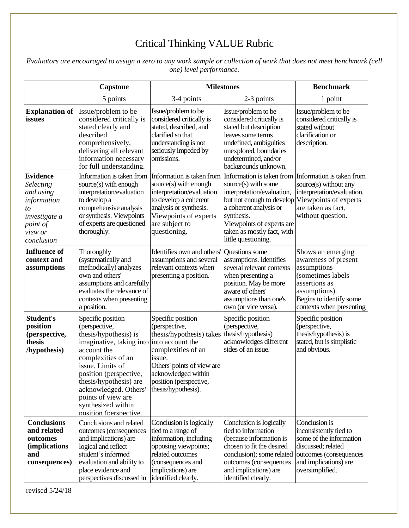# Critical Thinking VALUE Rubric

*Evaluators are encouraged to assign a zero to any work sample or collection of work that does not meet benchmark (cell one) level performance.*

|                                                                                                                      | Capstone                                                                                                                                                                                                                                                                                                             | <b>Milestones</b>                                                                                                                                                                                    |                                                                                                                                                                                                                                                                                       | <b>Benchmark</b>                                                                                                                                                       |
|----------------------------------------------------------------------------------------------------------------------|----------------------------------------------------------------------------------------------------------------------------------------------------------------------------------------------------------------------------------------------------------------------------------------------------------------------|------------------------------------------------------------------------------------------------------------------------------------------------------------------------------------------------------|---------------------------------------------------------------------------------------------------------------------------------------------------------------------------------------------------------------------------------------------------------------------------------------|------------------------------------------------------------------------------------------------------------------------------------------------------------------------|
|                                                                                                                      | 5 points                                                                                                                                                                                                                                                                                                             | 3-4 points                                                                                                                                                                                           | 2-3 points                                                                                                                                                                                                                                                                            | 1 point                                                                                                                                                                |
| <b>Explanation of</b><br>issues                                                                                      | Issue/problem to be<br>considered critically is<br>stated clearly and<br>described<br>comprehensively,<br>delivering all relevant<br>information necessary<br>for full understanding.                                                                                                                                | Issue/problem to be<br>considered critically is<br>stated, described, and<br>clarified so that<br>understanding is not<br>seriously impeded by<br>omissions.                                         | Issue/problem to be<br>considered critically is<br>stated but description<br>leaves some terms<br>undefined, ambiguities<br>unexplored, boundaries<br>undetermined, and/or<br>backgrounds unknown.                                                                                    | Issue/problem to be<br>considered critically is<br>stated without<br>clarification or<br>description.                                                                  |
| <b>Evidence</b><br>Selecting<br>and using<br>information<br>to<br>investigate a<br>point of<br>view or<br>conclusion | Information is taken from<br>source(s) with enough<br>interpretation/evaluation<br>to develop a<br>comprehensive analysis<br>or synthesis. Viewpoints<br>of experts are questioned<br>thoroughly.                                                                                                                    | Information is taken from<br>source(s) with enough<br>interpretation/evaluation<br>to develop a coherent<br>analysis or synthesis.<br>Viewpoints of experts<br>are subject to<br>questioning.        | Information is taken from Information is taken from<br>source(s) with some<br>interpretation/evaluation,<br>but not enough to develop Viewpoints of experts<br>a coherent analysis or<br>synthesis.<br>Viewpoints of experts are<br>taken as mostly fact, with<br>little questioning. | source(s) without any<br>interpretation/evaluation.<br>are taken as fact,<br>without question.                                                                         |
| <b>Influence</b> of<br>context and<br>assumptions                                                                    | Thoroughly<br>(systematically and<br>methodically) analyzes<br>own and others'<br>assumptions and carefully<br>evaluates the relevance of<br>contexts when presenting<br>a position.                                                                                                                                 | Identifies own and others'<br>assumptions and several<br>relevant contexts when<br>presenting a position.                                                                                            | Questions some<br>assumptions. Identifies<br>several relevant contexts<br>when presenting a<br>position. May be more<br>aware of others'<br>assumptions than one's<br>own (or vice versa).                                                                                            | Shows an emerging<br>awareness of present<br>assumptions<br>(sometimes labels<br>assertions as<br>assumptions).<br>Begins to identify some<br>contexts when presenting |
| <b>Student's</b><br>position<br>(perspective,<br>thesis<br>/hypothesis)                                              | Specific position<br>(perspective,<br>thesis/hypothesis) is<br>imaginative, taking into into account the<br>account the<br>complexities of an<br>issue. Limits of<br>position (perspective,<br>thesis/hypothesis) are<br>acknowledged. Others'<br>points of view are<br>synthesized within<br>position (perspective. | Specific position<br>(perspective,<br>thesis/hypothesis) takes<br>complexities of an<br>issue.<br>Others' points of view are<br>acknowledged within<br>position (perspective,<br>thesis/hypothesis). | Specific position<br>(perspective,<br>thesis/hypothesis)<br>acknowledges different<br>sides of an issue.                                                                                                                                                                              | Specific position<br>(perspective,<br>thesis/hypothesis) is<br>stated, but is simplistic<br>and obvious.                                                               |
| <b>Conclusions</b><br>and related<br>outcomes<br><i>(implications</i><br>and<br>consequences)                        | Conclusions and related<br>outcomes (consequences<br>and implications) are<br>logical and reflect<br>student's informed<br>evaluation and ability to<br>place evidence and<br>perspectives discussed in                                                                                                              | Conclusion is logically<br>tied to a range of<br>information, including<br>opposing viewpoints;<br>related outcomes<br>(consequences and<br>implications) are<br>identified clearly.                 | Conclusion is logically<br>tied to information<br>(because information is<br>chosen to fit the desired<br>conclusion); some related<br>outcomes (consequences<br>and implications) are<br>identified clearly.                                                                         | Conclusion is<br>inconsistently tied to<br>some of the information<br>discussed; related<br>outcomes (consequences<br>and implications) are<br>oversimplified.         |

revised 5/24/18